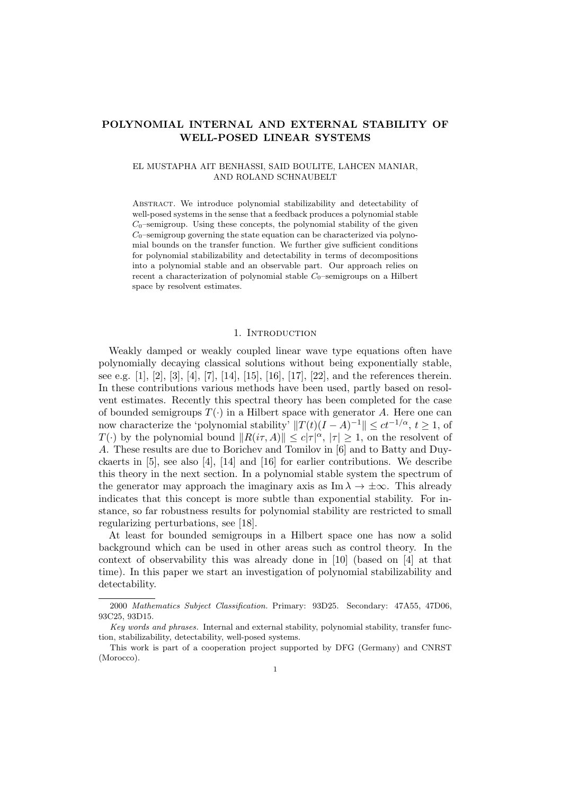# POLYNOMIAL INTERNAL AND EXTERNAL STABILITY OF WELL-POSED LINEAR SYSTEMS

## EL MUSTAPHA AIT BENHASSI, SAID BOULITE, LAHCEN MANIAR, AND ROLAND SCHNAUBELT

Abstract. We introduce polynomial stabilizability and detectability of well-posed systems in the sense that a feedback produces a polynomial stable  $C_0$ –semigroup. Using these concepts, the polynomial stability of the given  $C_0$ –semigroup governing the state equation can be characterized via polynomial bounds on the transfer function. We further give sufficient conditions for polynomial stabilizability and detectability in terms of decompositions into a polynomial stable and an observable part. Our approach relies on recent a characterization of polynomial stable  $C_0$ –semigroups on a Hilbert space by resolvent estimates.

#### 1. INTRODUCTION

Weakly damped or weakly coupled linear wave type equations often have polynomially decaying classical solutions without being exponentially stable, see e.g.  $[1], [2], [3], [4], [7], [14], [15], [16], [17], [22],$  and the references therein. In these contributions various methods have been used, partly based on resolvent estimates. Recently this spectral theory has been completed for the case of bounded semigroups  $T(\cdot)$  in a Hilbert space with generator A. Here one can now characterize the 'polynomial stability'  $||T(t)(I - A)^{-1}|| \le ct^{-1/\alpha}, t \ge 1$ , of  $T(\cdot)$  by the polynomial bound  $||R(i\tau, A)|| \leq c|\tau|^{\alpha}$ ,  $|\tau| \geq 1$ , on the resolvent of A. These results are due to Borichev and Tomilov in [6] and to Batty and Duyckaerts in [5], see also [4], [14] and [16] for earlier contributions. We describe this theory in the next section. In a polynomial stable system the spectrum of the generator may approach the imaginary axis as  $\text{Im }\lambda \to \pm \infty$ . This already indicates that this concept is more subtle than exponential stability. For instance, so far robustness results for polynomial stability are restricted to small regularizing perturbations, see [18].

At least for bounded semigroups in a Hilbert space one has now a solid background which can be used in other areas such as control theory. In the context of observability this was already done in [10] (based on [4] at that time). In this paper we start an investigation of polynomial stabilizability and detectability.

<sup>2000</sup> Mathematics Subject Classification. Primary: 93D25. Secondary: 47A55, 47D06, 93C25, 93D15.

Key words and phrases. Internal and external stability, polynomial stability, transfer function, stabilizability, detectability, well-posed systems.

This work is part of a cooperation project supported by DFG (Germany) and CNRST (Morocco).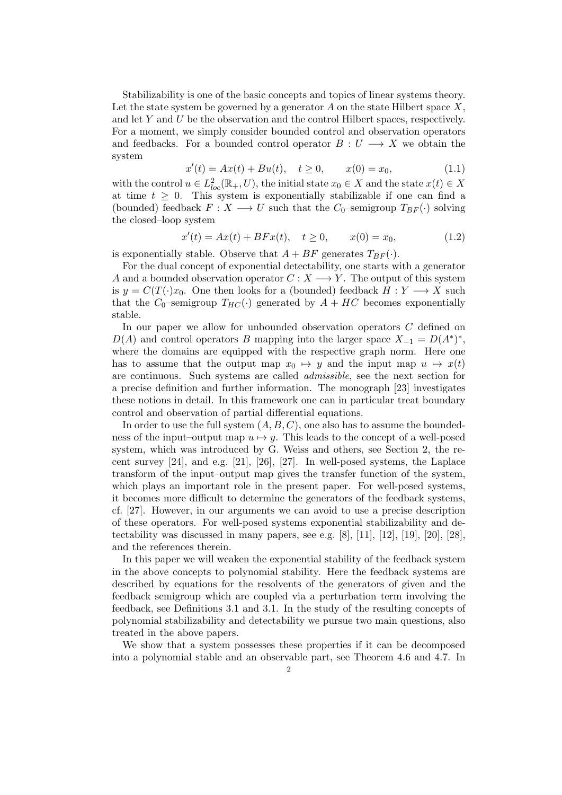Stabilizability is one of the basic concepts and topics of linear systems theory. Let the state system be governed by a generator  $A$  on the state Hilbert space  $X$ , and let  $Y$  and  $U$  be the observation and the control Hilbert spaces, respectively. For a moment, we simply consider bounded control and observation operators and feedbacks. For a bounded control operator  $B: U \longrightarrow X$  we obtain the system

$$
x'(t) = Ax(t) + Bu(t), \quad t \ge 0, \qquad x(0) = x_0,
$$
\n(1.1)

with the control  $u \in L^2_{loc}(\mathbb{R}_+, U)$ , the initial state  $x_0 \in X$  and the state  $x(t) \in X$ at time  $t \geq 0$ . This system is exponentially stabilizable if one can find a (bounded) feedback  $F: X \longrightarrow U$  such that the  $C_0$ -semigroup  $T_{BF}(\cdot)$  solving the closed–loop system

$$
x'(t) = Ax(t) + BFx(t), \quad t \ge 0, \qquad x(0) = x_0,
$$
\n(1.2)

is exponentially stable. Observe that  $A + BF$  generates  $T_{BF}(\cdot)$ .

For the dual concept of exponential detectability, one starts with a generator A and a bounded observation operator  $C: X \longrightarrow Y$ . The output of this system is  $y = C(T(\cdot)x_0)$ . One then looks for a (bounded) feedback  $H: Y \longrightarrow X$  such that the  $C_0$ -semigroup  $T_{HC}(\cdot)$  generated by  $A + HC$  becomes exponentially stable.

In our paper we allow for unbounded observation operators C defined on  $D(A)$  and control operators B mapping into the larger space  $X_{-1} = D(A^*)^*$ , where the domains are equipped with the respective graph norm. Here one has to assume that the output map  $x_0 \mapsto y$  and the input map  $u \mapsto x(t)$ are continuous. Such systems are called admissible, see the next section for a precise definition and further information. The monograph [23] investigates these notions in detail. In this framework one can in particular treat boundary control and observation of partial differential equations.

In order to use the full system  $(A, B, C)$ , one also has to assume the boundedness of the input–output map  $u \mapsto y$ . This leads to the concept of a well-posed system, which was introduced by G. Weiss and others, see Section 2, the recent survey  $[24]$ , and e.g.  $[21]$ ,  $[26]$ ,  $[27]$ . In well-posed systems, the Laplace transform of the input–output map gives the transfer function of the system, which plays an important role in the present paper. For well-posed systems, it becomes more difficult to determine the generators of the feedback systems, cf. [27]. However, in our arguments we can avoid to use a precise description of these operators. For well-posed systems exponential stabilizability and detectability was discussed in many papers, see e.g. [8], [11], [12], [19], [20], [28], and the references therein.

In this paper we will weaken the exponential stability of the feedback system in the above concepts to polynomial stability. Here the feedback systems are described by equations for the resolvents of the generators of given and the feedback semigroup which are coupled via a perturbation term involving the feedback, see Definitions 3.1 and 3.1. In the study of the resulting concepts of polynomial stabilizability and detectability we pursue two main questions, also treated in the above papers.

We show that a system possesses these properties if it can be decomposed into a polynomial stable and an observable part, see Theorem 4.6 and 4.7. In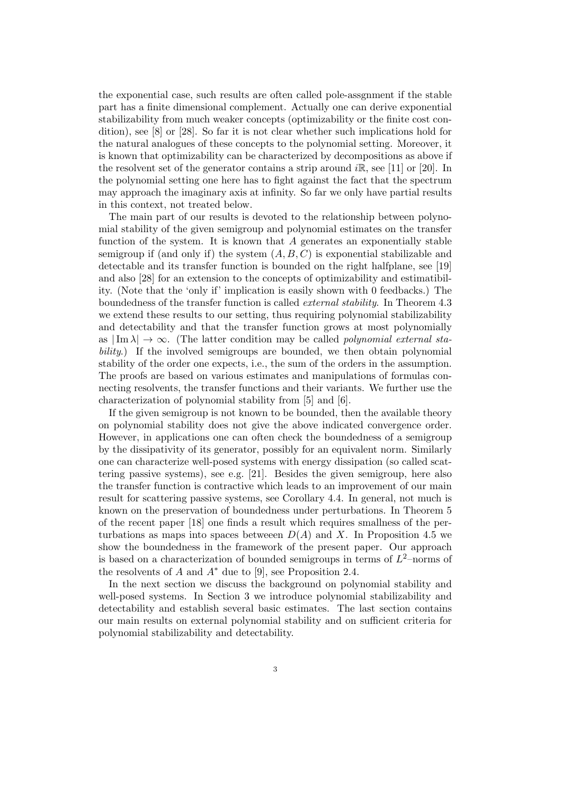the exponential case, such results are often called pole-assgnment if the stable part has a finite dimensional complement. Actually one can derive exponential stabilizability from much weaker concepts (optimizability or the finite cost condition), see [8] or [28]. So far it is not clear whether such implications hold for the natural analogues of these concepts to the polynomial setting. Moreover, it is known that optimizability can be characterized by decompositions as above if the resolvent set of the generator contains a strip around  $i\mathbb{R}$ , see [11] or [20]. In the polynomial setting one here has to fight against the fact that the spectrum may approach the imaginary axis at infinity. So far we only have partial results in this context, not treated below.

The main part of our results is devoted to the relationship between polynomial stability of the given semigroup and polynomial estimates on the transfer function of the system. It is known that A generates an exponentially stable semigroup if (and only if) the system  $(A, B, C)$  is exponential stabilizable and detectable and its transfer function is bounded on the right halfplane, see [19] and also [28] for an extension to the concepts of optimizability and estimatibility. (Note that the 'only if' implication is easily shown with 0 feedbacks.) The boundedness of the transfer function is called external stability. In Theorem 4.3 we extend these results to our setting, thus requiring polynomial stabilizability and detectability and that the transfer function grows at most polynomially as  $|\text{Im }\lambda| \to \infty$ . (The latter condition may be called *polynomial external sta*bility.) If the involved semigroups are bounded, we then obtain polynomial stability of the order one expects, i.e., the sum of the orders in the assumption. The proofs are based on various estimates and manipulations of formulas connecting resolvents, the transfer functions and their variants. We further use the characterization of polynomial stability from [5] and [6].

If the given semigroup is not known to be bounded, then the available theory on polynomial stability does not give the above indicated convergence order. However, in applications one can often check the boundedness of a semigroup by the dissipativity of its generator, possibly for an equivalent norm. Similarly one can characterize well-posed systems with energy dissipation (so called scattering passive systems), see e.g. [21]. Besides the given semigroup, here also the transfer function is contractive which leads to an improvement of our main result for scattering passive systems, see Corollary 4.4. In general, not much is known on the preservation of boundedness under perturbations. In Theorem 5 of the recent paper [18] one finds a result which requires smallness of the perturbations as maps into spaces between  $D(A)$  and X. In Proposition 4.5 we show the boundedness in the framework of the present paper. Our approach is based on a characterization of bounded semigroups in terms of  $L^2$ -norms of the resolvents of A and  $A^*$  due to [9], see Proposition 2.4.

In the next section we discuss the background on polynomial stability and well-posed systems. In Section 3 we introduce polynomial stabilizability and detectability and establish several basic estimates. The last section contains our main results on external polynomial stability and on sufficient criteria for polynomial stabilizability and detectability.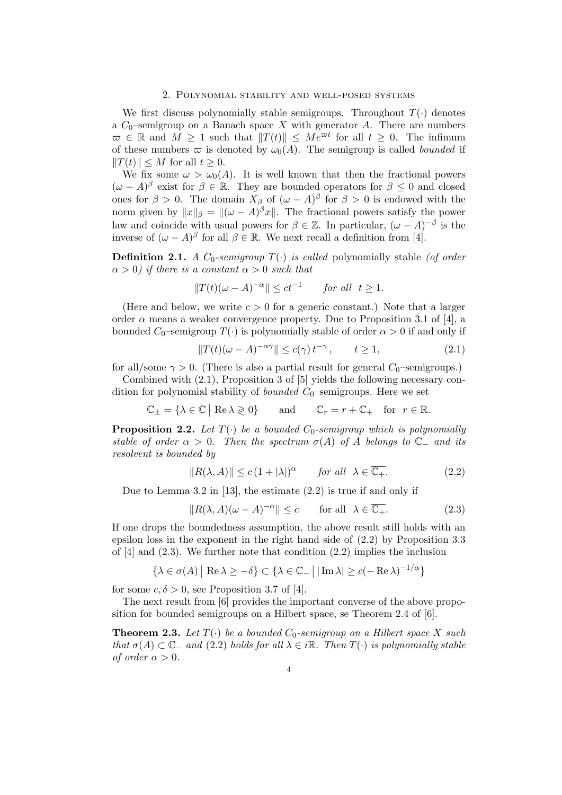### 2. Polynomial stability and well-posed systems

We first discuss polynomially stable semigroups. Throughout  $T(\cdot)$  denotes a  $C_0$ -semigroup on a Banach space X with generator A. There are numbers  $\sigma \in \mathbb{R}$  and  $M \geq 1$  such that  $||T(t)|| \leq Me^{\sigma t}$  for all  $t \geq 0$ . The infimum of these numbers  $\varpi$  is denoted by  $\omega_0(A)$ . The semigroup is called *bounded* if  $||T(t)|| \leq M$  for all  $t \geq 0$ .

We fix some  $\omega > \omega_0(A)$ . It is well known that then the fractional powers  $(\omega - A)^{\beta}$  exist for  $\beta \in \mathbb{R}$ . They are bounded operators for  $\beta \leq 0$  and closed ones for  $\beta > 0$ . The domain  $X_{\beta}$  of  $(\omega - A)^{\beta}$  for  $\beta > 0$  is endowed with the norm given by  $||x||_\beta = ||(\omega - A)^\beta x||$ . The fractional powers satisfy the power law and coincide with usual powers for  $\beta \in \mathbb{Z}$ . In particular,  $(\omega - A)^{-\beta}$  is the inverse of  $({\omega} - A)^{\beta}$  for all  $\beta \in \mathbb{R}$ . We next recall a definition from [4].

**Definition 2.1.** A  $C_0$ -semigroup  $T(\cdot)$  is called polynomially stable (of order  $\alpha > 0$ ) if there is a constant  $\alpha > 0$  such that

$$
||T(t)(\omega - A)^{-\alpha}|| \le ct^{-1} \quad \text{for all } t \ge 1.
$$

(Here and below, we write  $c > 0$  for a generic constant.) Note that a larger order  $\alpha$  means a weaker convergence property. Due to Proposition 3.1 of [4], a bounded  $C_0$ –semigroup  $T(\cdot)$  is polynomially stable of order  $\alpha > 0$  if and only if

$$
||T(t)(\omega - A)^{-\alpha\gamma}|| \le c(\gamma) t^{-\gamma}, \qquad t \ge 1,
$$
\n(2.1)

for all/some  $\gamma > 0$ . (There is also a partial result for general  $C_0$ -semigroups.)

Combined with (2.1), Proposition 3 of [5] yields the following necessary condition for polynomial stability of *bounded*  $C_0$ –semigroups. Here we set

$$
\mathbb{C}_{\pm} = \{ \lambda \in \mathbb{C} \mid \text{Re } \lambda \geqslant 0 \} \quad \text{and} \quad \mathbb{C}_{r} = r + \mathbb{C}_{+} \quad \text{for } r \in \mathbb{R}.
$$

**Proposition 2.2.** Let  $T(\cdot)$  be a bounded  $C_0$ -semigroup which is polynomially stable of order  $\alpha > 0$ . Then the spectrum  $\sigma(A)$  of A belongs to  $\mathbb{C}_-$  and its resolvent is bounded by

$$
||R(\lambda, A)|| \le c \left(1 + |\lambda|\right)^{\alpha} \quad \text{for all } \lambda \in \overline{\mathbb{C}_{+}}.
$$
 (2.2)

Due to Lemma 3.2 in [13], the estimate (2.2) is true if and only if

$$
||R(\lambda, A)(\omega - A)^{-\alpha}|| \le c \quad \text{for all} \quad \lambda \in \overline{\mathbb{C}_+}. \tag{2.3}
$$

If one drops the boundedness assumption, the above result still holds with an epsilon loss in the exponent in the right hand side of (2.2) by Proposition 3.3 of  $[4]$  and  $(2.3)$ . We further note that condition  $(2.2)$  implies the inclusion

$$
\{\lambda \in \sigma(A) \mid \text{Re}\,\lambda \ge -\delta\} \subset \{\lambda \in \mathbb{C}_-\mid |\text{Im}\,\lambda| \ge c(-\text{Re}\,\lambda)^{-1/\alpha}\}\
$$

for some  $c, \delta > 0$ , see Proposition 3.7 of [4].

The next result from [6] provides the important converse of the above proposition for bounded semigroups on a Hilbert space, se Theorem 2.4 of [6].

**Theorem 2.3.** Let  $T(\cdot)$  be a bounded  $C_0$ -semigroup on a Hilbert space X such that  $\sigma(A) \subset \mathbb{C}$  and (2.2) holds for all  $\lambda \in i\mathbb{R}$ . Then  $T(\cdot)$  is polynomially stable of order  $\alpha > 0$ .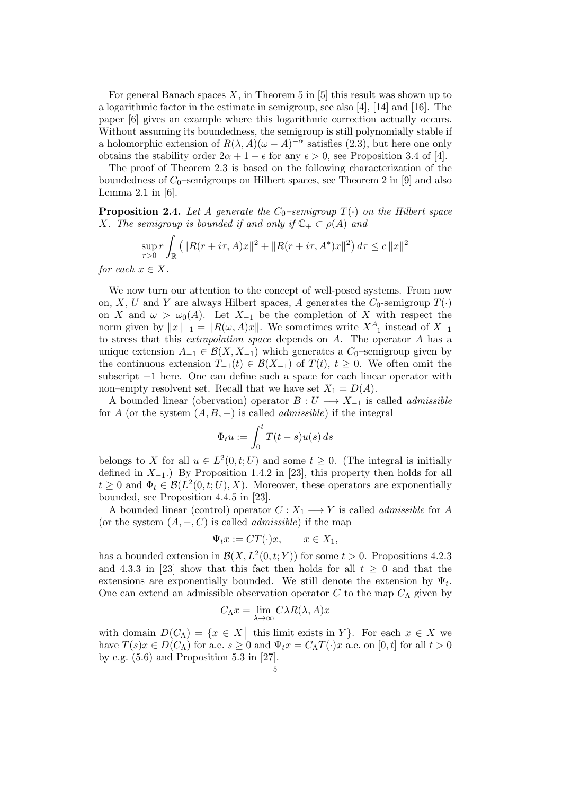For general Banach spaces  $X$ , in Theorem 5 in [5] this result was shown up to a logarithmic factor in the estimate in semigroup, see also [4], [14] and [16]. The paper [6] gives an example where this logarithmic correction actually occurs. Without assuming its boundedness, the semigroup is still polynomially stable if a holomorphic extension of  $R(\lambda, A)(\omega - A)^{-\alpha}$  satisfies (2.3), but here one only obtains the stability order  $2\alpha + 1 + \epsilon$  for any  $\epsilon > 0$ , see Proposition 3.4 of [4].

The proof of Theorem 2.3 is based on the following characterization of the boundedness of  $C_0$ –semigroups on Hilbert spaces, see Theorem 2 in [9] and also Lemma  $2.1$  in [6].

**Proposition 2.4.** Let A generate the  $C_0$ -semigroup  $T(\cdot)$  on the Hilbert space X. The semigroup is bounded if and only if  $\mathbb{C}_+ \subset \rho(A)$  and

$$
\sup_{r>0} r \int_{\mathbb{R}} \left( \|R(r+i\tau,A)x\|^2 + \|R(r+i\tau,A^*)x\|^2 \right) d\tau \le c \|x\|^2
$$

for each  $x \in X$ .

We now turn our attention to the concept of well-posed systems. From now on, X, U and Y are always Hilbert spaces, A generates the  $C_0$ -semigroup  $T(\cdot)$ on X and  $\omega > \omega_0(A)$ . Let  $X_{-1}$  be the completion of X with respect the norm given by  $||x||_{-1} = ||R(\omega, A)x||$ . We sometimes write  $X_{-1}^A$  instead of  $X_{-1}$ to stress that this extrapolation space depends on A. The operator A has a unique extension  $A_{-1} \in \mathcal{B}(X, X_{-1})$  which generates a  $C_0$ -semigroup given by the continuous extension  $T_{-1}(t) \in \mathcal{B}(X_{-1})$  of  $T(t)$ ,  $t \geq 0$ . We often omit the subscript −1 here. One can define such a space for each linear operator with non–empty resolvent set. Recall that we have set  $X_1 = D(A)$ .

A bounded linear (obervation) operator  $B: U \longrightarrow X_{-1}$  is called *admissible* for A (or the system  $(A, B, -)$  is called *admissible*) if the integral

$$
\Phi_t u := \int_0^t T(t - s) u(s) \, ds
$$

belongs to X for all  $u \in L^2(0,t;U)$  and some  $t \geq 0$ . (The integral is initially defined in  $X_{-1}$ .) By Proposition 1.4.2 in [23], this property then holds for all  $t \geq 0$  and  $\Phi_t \in \mathcal{B}(L^2(0,t;U),X)$ . Moreover, these operators are exponentially bounded, see Proposition 4.4.5 in [23].

A bounded linear (control) operator  $C: X_1 \longrightarrow Y$  is called *admissible* for A (or the system  $(A, -, C)$  is called *admissible*) if the map

$$
\Psi_t x := CT(\cdot)x, \qquad x \in X_1,
$$

has a bounded extension in  $\mathcal{B}(X, L^2(0,t;Y))$  for some  $t > 0$ . Propositions 4.2.3 and 4.3.3 in [23] show that this fact then holds for all  $t \geq 0$  and that the extensions are exponentially bounded. We still denote the extension by  $\Psi_t$ . One can extend an admissible observation operator C to the map  $C_{\Lambda}$  given by

$$
C_{\Lambda}x = \lim_{\lambda \to \infty} C\lambda R(\lambda, A)x
$$

with domain  $D(C_\Lambda) = \{x \in X \mid \text{this limit exists in } Y\}.$  For each  $x \in X$  we have  $T(s)x \in D(C_\Lambda)$  for a.e.  $s \geq 0$  and  $\Psi_t x = C_\Lambda T(\cdot)x$  a.e. on [0, t] for all  $t > 0$ by e.g. (5.6) and Proposition 5.3 in [27].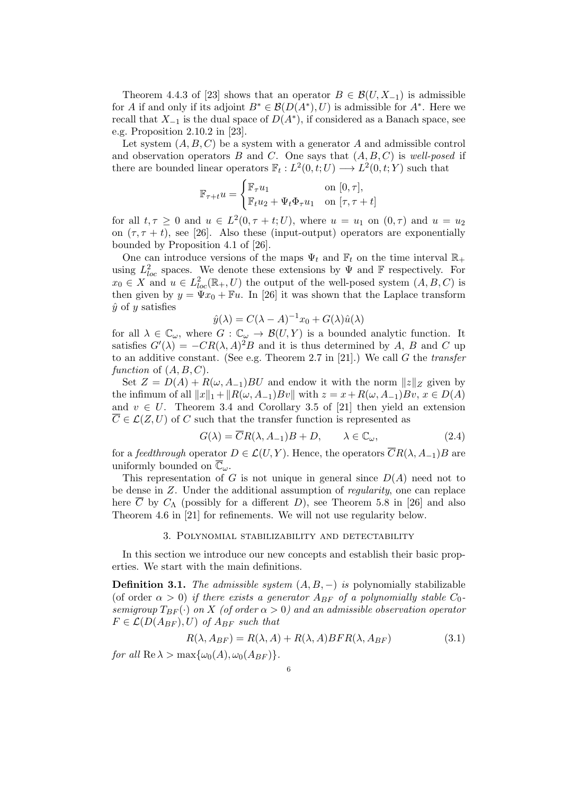Theorem 4.4.3 of [23] shows that an operator  $B \in \mathcal{B}(U, X_{-1})$  is admissible for A if and only if its adjoint  $B^* \in \mathcal{B}(D(A^*), U)$  is admissible for  $A^*$ . Here we recall that  $X_{-1}$  is the dual space of  $D(A^*)$ , if considered as a Banach space, see e.g. Proposition 2.10.2 in [23].

Let system  $(A, B, C)$  be a system with a generator A and admissible control and observation operators B and C. One says that  $(A, B, C)$  is well-posed if there are bounded linear operators  $\mathbb{F}_t: L^2(0,t;U) \longrightarrow L^2(0,t;Y)$  such that

$$
\mathbb{F}_{\tau+t}u = \begin{cases} \mathbb{F}_{\tau}u_1 & \text{on } [0, \tau], \\ \mathbb{F}_{t}u_2 + \Psi_t \Phi_{\tau}u_1 & \text{on } [\tau, \tau+t] \end{cases}
$$

for all  $t, \tau \geq 0$  and  $u \in L^2(0, \tau + t; U)$ , where  $u = u_1$  on  $(0, \tau)$  and  $u = u_2$ on  $(\tau, \tau + t)$ , see [26]. Also these (input-output) operators are exponentially bounded by Proposition 4.1 of [26].

One can introduce versions of the maps  $\Psi_t$  and  $\mathbb{F}_t$  on the time interval  $\mathbb{R}_+$ using  $L^2_{loc}$  spaces. We denote these extensions by  $\Psi$  and  $\mathbb F$  respectively. For  $x_0 \in X$  and  $u \in L^2_{loc}(\mathbb{R}_+, U)$  the output of the well-posed system  $(A, B, C)$  is then given by  $y = \Psi x_0 + \Psi u$ . In [26] it was shown that the Laplace transform  $\hat{y}$  of y satisfies

$$
\hat{y}(\lambda) = C(\lambda - A)^{-1}x_0 + G(\lambda)\hat{u}(\lambda)
$$

for all  $\lambda \in \mathbb{C}_{\omega}$ , where  $G : \mathbb{C}_{\omega} \to \mathcal{B}(U, Y)$  is a bounded analytic function. It satisfies  $G'(\lambda) = -CR(\lambda, A)^2B$  and it is thus determined by A, B and C up to an additive constant. (See e.g. Theorem 2.7 in [21].) We call  $G$  the transfer function of  $(A, B, C)$ .

Set  $Z = D(A) + R(\omega, A_{-1})BU$  and endow it with the norm  $||z||_Z$  given by the infimum of all  $||x||_1 + ||R(\omega, A_{-1})Bv||$  with  $z = x + R(\omega, A_{-1})Bv$ ,  $x \in D(A)$ and  $v \in U$ . Theorem 3.4 and Corollary 3.5 of [21] then yield an extension  $\overline{C} \in \mathcal{L}(Z, U)$  of C such that the transfer function is represented as

$$
G(\lambda) = \overline{C}R(\lambda, A_{-1})B + D, \qquad \lambda \in \mathbb{C}_{\omega}, \tag{2.4}
$$

for a feedthrough operator  $D \in \mathcal{L}(U, Y)$ . Hence, the operators  $\overline{C}R(\lambda, A_{-1})B$  are uniformly bounded on  $\overline{\mathbb{C}}_{\omega}$ .

This representation of G is not unique in general since  $D(A)$  need not to be dense in Z. Under the additional assumption of regularity, one can replace here  $\overline{C}$  by  $C_{\Lambda}$  (possibly for a different D), see Theorem 5.8 in [26] and also Theorem 4.6 in [21] for refinements. We will not use regularity below.

## 3. Polynomial stabilizability and detectability

In this section we introduce our new concepts and establish their basic properties. We start with the main definitions.

**Definition 3.1.** The admissible system  $(A, B, -)$  is polynomially stabilizable (of order  $\alpha > 0$ ) if there exists a generator  $A_{BF}$  of a polynomially stable  $C_0$ . semigroup  $T_{BF}(\cdot)$  on X (of order  $\alpha > 0$ ) and an admissible observation operator  $F \in \mathcal{L}(D(A_{BF}), U)$  of  $A_{BF}$  such that

$$
R(\lambda, A_{BF}) = R(\lambda, A) + R(\lambda, A)BFR(\lambda, A_{BF})
$$
\n(3.1)

for all  $\text{Re }\lambda > \max\{\omega_0(A), \omega_0(A_{BF})\}.$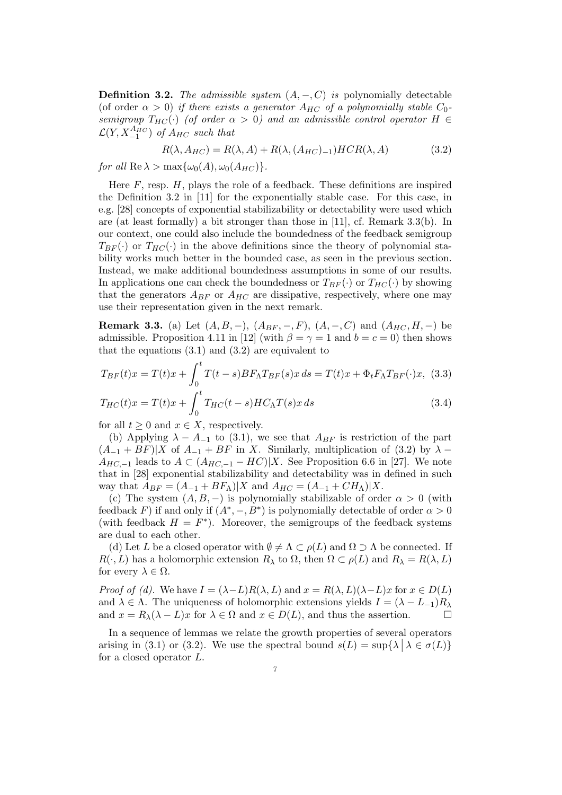**Definition 3.2.** The admissible system  $(A, -, C)$  is polynomially detectable (of order  $\alpha > 0$ ) if there exists a generator  $A_{HC}$  of a polynomially stable  $C_0$ semigroup  $T_{HC}(\cdot)$  (of order  $\alpha > 0$ ) and an admissible control operator  $H \in$  $\mathcal{L}(Y, X^{A_{HC}}_{-1})$  of  $A_{HC}$  such that

$$
R(\lambda, A_{HC}) = R(\lambda, A) + R(\lambda, (A_{HC})_{-1}) HCR(\lambda, A)
$$
\n(3.2)

for all  $\text{Re }\lambda > \max{\omega_0(A), \omega_0(A_{HC})}.$ 

Here  $F$ , resp.  $H$ , plays the role of a feedback. These definitions are inspired the Definition 3.2 in [11] for the exponentially stable case. For this case, in e.g. [28] concepts of exponential stabilizability or detectability were used which are (at least formally) a bit stronger than those in [11], cf. Remark 3.3(b). In our context, one could also include the boundedness of the feedback semigroup  $T_{BF}(\cdot)$  or  $T_{HC}(\cdot)$  in the above definitions since the theory of polynomial stability works much better in the bounded case, as seen in the previous section. Instead, we make additional boundedness assumptions in some of our results. In applications one can check the boundedness or  $T_{BF}(\cdot)$  or  $T_{HC}(\cdot)$  by showing that the generators  $A_{BF}$  or  $A_{HC}$  are dissipative, respectively, where one may use their representation given in the next remark.

**Remark 3.3.** (a) Let  $(A, B, -)$ ,  $(A_{BF}, -, F)$ ,  $(A, -, C)$  and  $(A_{HC}, H, -)$  be admissible. Proposition 4.11 in [12] (with  $\beta = \gamma = 1$  and  $b = c = 0$ ) then shows that the equations  $(3.1)$  and  $(3.2)$  are equivalent to

$$
T_{BF}(t)x = T(t)x + \int_0^t T(t-s)BF_{\Lambda}T_{BF}(s)x ds = T(t)x + \Phi_t F_{\Lambda}T_{BF}(\cdot)x, (3.3)
$$

$$
T_{HC}(t)x = T(t)x + \int_0^t T_{HC}(t-s)HC_{\Lambda}T(s)x ds
$$
(3.4)

for all  $t \geq 0$  and  $x \in X$ , respectively.

(b) Applying  $\lambda - A_{-1}$  to (3.1), we see that  $A_{BF}$  is restriction of the part  $(A_{-1} + BF)|X$  of  $A_{-1} + BF$  in X. Similarly, multiplication of (3.2) by  $\lambda$  –  $A_{HC,-1}$  leads to  $A \subset (A_{HC,-1} - HC)|X$ . See Proposition 6.6 in [27]. We note that in [28] exponential stabilizability and detectability was in defined in such way that  $A_{BF} = (A_{-1} + BF_{\Lambda})|X$  and  $A_{HC} = (A_{-1} + CH_{\Lambda})|X$ .

(c) The system  $(A, B, -)$  is polynomially stabilizable of order  $\alpha > 0$  (with feedback F) if and only if  $(A^*, -, B^*)$  is polynomially detectable of order  $\alpha > 0$ (with feedback  $H = F^*$ ). Moreover, the semigroups of the feedback systems are dual to each other.

(d) Let L be a closed operator with  $\emptyset \neq \Lambda \subset \rho(L)$  and  $\Omega \supset \Lambda$  be connected. If  $R(\cdot, L)$  has a holomorphic extension  $R_{\lambda}$  to  $\Omega$ , then  $\Omega \subset \rho(L)$  and  $R_{\lambda} = R(\lambda, L)$ for every  $\lambda \in \Omega$ .

Proof of (d). We have  $I = (\lambda - L)R(\lambda, L)$  and  $x = R(\lambda, L)(\lambda - L)x$  for  $x \in D(L)$ and  $\lambda \in \Lambda$ . The uniqueness of holomorphic extensions yields  $I = (\lambda - L_{-1})R_{\lambda}$ and  $x = R_{\lambda}(\lambda - L)x$  for  $\lambda \in \Omega$  and  $x \in D(L)$ , and thus the assertion.

In a sequence of lemmas we relate the growth properties of several operators arising in (3.1) or (3.2). We use the spectral bound  $s(L) = \sup\{\lambda \mid \lambda \in \sigma(L)\}\$ for a closed operator L.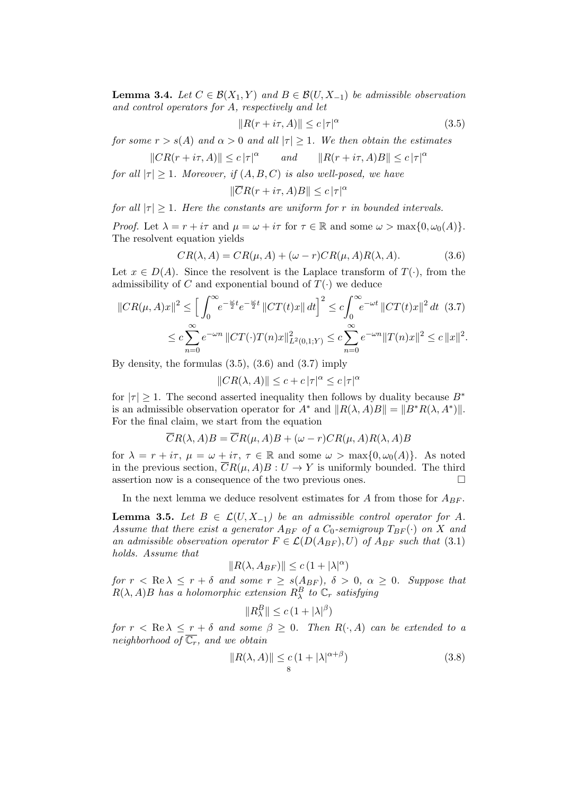**Lemma 3.4.** Let  $C \in \mathcal{B}(X_1, Y)$  and  $B \in \mathcal{B}(U, X_{-1})$  be admissible observation and control operators for A, respectively and let

$$
||R(r+i\tau,A)|| \leq c |\tau|^{\alpha} \tag{3.5}
$$

for some  $r > s(A)$  and  $\alpha > 0$  and all  $|\tau| \geq 1$ . We then obtain the estimates

$$
||CR(r+i\tau,A)|| \leq c |\tau|^{\alpha}
$$
 and  $||R(r+i\tau,A)B|| \leq c |\tau|^{\alpha}$ 

for all  $|\tau| \geq 1$ . Moreover, if  $(A, B, C)$  is also well-posed, we have

$$
\|\overline{C}R(r+i\tau,A)B\| \leq c\,|\tau|^{\alpha}
$$

for all  $|\tau| \geq 1$ . Here the constants are uniform for r in bounded intervals.

*Proof.* Let  $\lambda = r + i\tau$  and  $\mu = \omega + i\tau$  for  $\tau \in \mathbb{R}$  and some  $\omega > \max\{0, \omega_0(A)\}.$ The resolvent equation yields

$$
CR(\lambda, A) = CR(\mu, A) + (\omega - r)CR(\mu, A)R(\lambda, A). \tag{3.6}
$$

Let  $x \in D(A)$ . Since the resolvent is the Laplace transform of  $T(\cdot)$ , from the admissibility of C and exponential bound of  $T(\cdot)$  we deduce

$$
||CR(\mu, A)x||^2 \le \left[ \int_0^\infty e^{-\frac{\omega}{2}t} e^{-\frac{\omega}{2}t} ||CT(t)x|| dt \right]^2 \le c \int_0^\infty e^{-\omega t} ||CT(t)x||^2 dt \quad (3.7)
$$
  

$$
\le c \sum_{n=0}^\infty e^{-\omega n} ||CT(\cdot)T(n)x||^2_{L^2(0,1;Y)} \le c \sum_{n=0}^\infty e^{-\omega n} ||T(n)x||^2 \le c ||x||^2.
$$

By density, the formulas  $(3.5)$ ,  $(3.6)$  and  $(3.7)$  imply

$$
||CR(\lambda, A)|| \le c + c |\tau|^{\alpha} \le c |\tau|^{\alpha}
$$

for  $|\tau| \geq 1$ . The second asserted inequality then follows by duality because  $B^*$ is an admissible observation operator for  $A^*$  and  $||R(\lambda, A)B|| = ||B^*R(\lambda, A^*)||$ . For the final claim, we start from the equation

$$
\overline{C}R(\lambda, A)B = \overline{C}R(\mu, A)B + (\omega - r)CR(\mu, A)R(\lambda, A)B
$$

for  $\lambda = r + i\tau$ ,  $\mu = \omega + i\tau$ ,  $\tau \in \mathbb{R}$  and some  $\omega > \max\{0, \omega_0(A)\}$ . As noted in the previous section,  $\overline{C}R(\mu, A)B: U \to Y$  is uniformly bounded. The third assertion now is a consequence of the two previous ones.  $\Box$ 

In the next lemma we deduce resolvent estimates for A from those for  $A_{BF}$ .

**Lemma 3.5.** Let  $B \in \mathcal{L}(U, X_{-1})$  be an admissible control operator for A. Assume that there exist a generator  $A_{BF}$  of a  $C_0$ -semigroup  $T_{BF}(\cdot)$  on X and an admissible observation operator  $F \in \mathcal{L}(D(A_{BF}), U)$  of  $A_{BF}$  such that (3.1) holds. Assume that

$$
||R(\lambda, A_{BF})|| \leq c(1+|\lambda|^{\alpha})
$$

for  $r < \text{Re }\lambda \le r + \delta$  and some  $r \ge s(A_{BF})$ ,  $\delta > 0$ ,  $\alpha \ge 0$ . Suppose that  $R(\lambda, A)B$  has a holomorphic extension  $R^B_\lambda$  to  $\mathbb{C}_r$  satisfying

$$
||R_{\lambda}^{B}|| \leq c\left(1 + |\lambda|^{\beta}\right)
$$

for  $r < \text{Re }\lambda \le r + \delta$  and some  $\beta \ge 0$ . Then  $R(\cdot, A)$  can be extended to a neighborhood of  $\overline{\mathbb{C}_r}$ , and we obtain

$$
||R(\lambda, A)|| \leq c \left(1 + |\lambda|^{\alpha + \beta}\right) \tag{3.8}
$$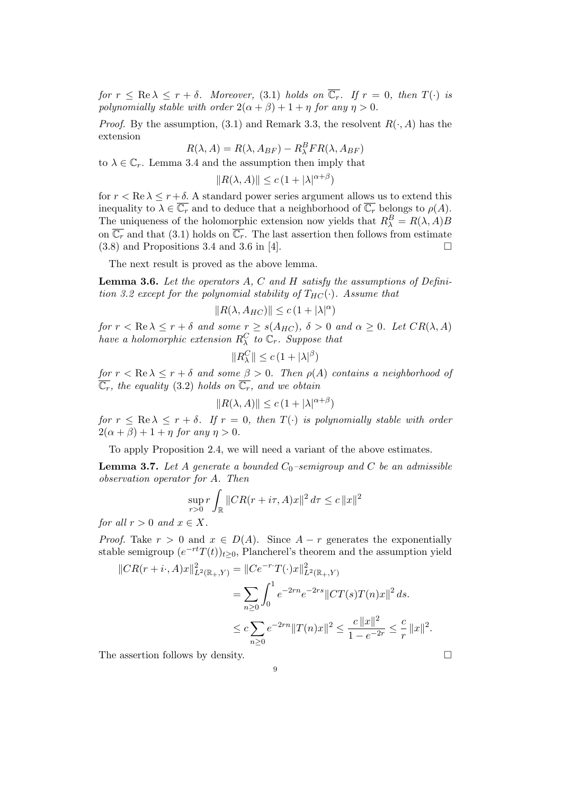for  $r \leq \text{Re }\lambda \leq r+\delta$ . Moreover, (3.1) holds on  $\overline{\mathbb{C}_r}$ . If  $r = 0$ , then  $T(\cdot)$  is polynomially stable with order  $2(\alpha + \beta) + 1 + \eta$  for any  $\eta > 0$ .

*Proof.* By the assumption, (3.1) and Remark 3.3, the resolvent  $R(\cdot, A)$  has the extension

$$
R(\lambda, A) = R(\lambda, A_{BF}) - R_{\lambda}^{B} FR(\lambda, A_{BF})
$$

to  $\lambda \in \mathbb{C}_r$ . Lemma 3.4 and the assumption then imply that

$$
||R(\lambda, A)|| \le c \left(1 + |\lambda|^{\alpha + \beta}\right)
$$

for  $r < \text{Re }\lambda \le r + \delta$ . A standard power series argument allows us to extend this inequality to  $\lambda \in \overline{\mathbb{C}_r}$  and to deduce that a neighborhood of  $\overline{\mathbb{C}_r}$  belongs to  $\rho(A)$ . The uniqueness of the holomorphic extension now yields that  $R_{\lambda}^{B} = R(\lambda, A)B$ on  $\overline{\mathbb{C}_r}$  and that (3.1) holds on  $\overline{\mathbb{C}_r}$ . The last assertion then follows from estimate  $(3.8)$  and Propositions 3.4 and 3.6 in [4].

The next result is proved as the above lemma.

**Lemma 3.6.** Let the operators  $A$ ,  $C$  and  $H$  satisfy the assumptions of Definition 3.2 except for the polynomial stability of  $T_{HC}(\cdot)$ . Assume that

$$
||R(\lambda, A_{HC})|| \le c (1 + |\lambda|^{\alpha})
$$

for  $r < \text{Re }\lambda \le r + \delta$  and some  $r \ge s(A_{HC}), \delta > 0$  and  $\alpha \ge 0$ . Let  $CR(\lambda, A)$ have a holomorphic extension  $R_\lambda^C$  to  $\mathbb{C}_r$ . Suppose that

$$
||R_{\lambda}^{C}|| \leq c\left(1 + |\lambda|^{\beta}\right)
$$

for  $r < \text{Re }\lambda \le r + \delta$  and some  $\beta > 0$ . Then  $\rho(A)$  contains a neighborhood of  $\overline{\mathbb{C}_r}$ , the equality (3.2) holds on  $\overline{\mathbb{C}_r}$ , and we obtain

$$
||R(\lambda, A)|| \le c \left(1 + |\lambda|^{\alpha + \beta}\right)
$$

for  $r \leq \text{Re } \lambda \leq r + \delta$ . If  $r = 0$ , then  $T(\cdot)$  is polynomially stable with order  $2(\alpha + \beta) + 1 + \eta$  for any  $\eta > 0$ .

To apply Proposition 2.4, we will need a variant of the above estimates.

**Lemma 3.7.** Let A generate a bounded  $C_0$ -semigroup and C be an admissible observation operator for A. Then

$$
\sup_{r>0} r \int_{\mathbb{R}} \|CR(r+i\tau,A)x\|^2 d\tau \leq c \|x\|^2
$$

for all  $r > 0$  and  $x \in X$ .

*Proof.* Take  $r > 0$  and  $x \in D(A)$ . Since  $A - r$  generates the exponentially stable semigroup  $(e^{-rt}T(t))_{t\geq 0}$ , Plancherel's theorem and the assumption yield

$$
||CR(r+i \cdot, A)x||_{L^{2}(\mathbb{R}_{+},Y)}^{2} = ||Ce^{-r \cdot T(\cdot)x||_{L^{2}(\mathbb{R}_{+},Y)}^{2}
$$
  

$$
= \sum_{n\geq 0} \int_{0}^{1} e^{-2rn} e^{-2rs} ||CT(s)T(n)x||^{2} ds.
$$
  

$$
\leq c \sum_{n\geq 0} e^{-2rn} ||T(n)x||^{2} \leq \frac{c ||x||^{2}}{1 - e^{-2r}} \leq \frac{c}{r} ||x||^{2}.
$$

The assertion follows by density.  $\Box$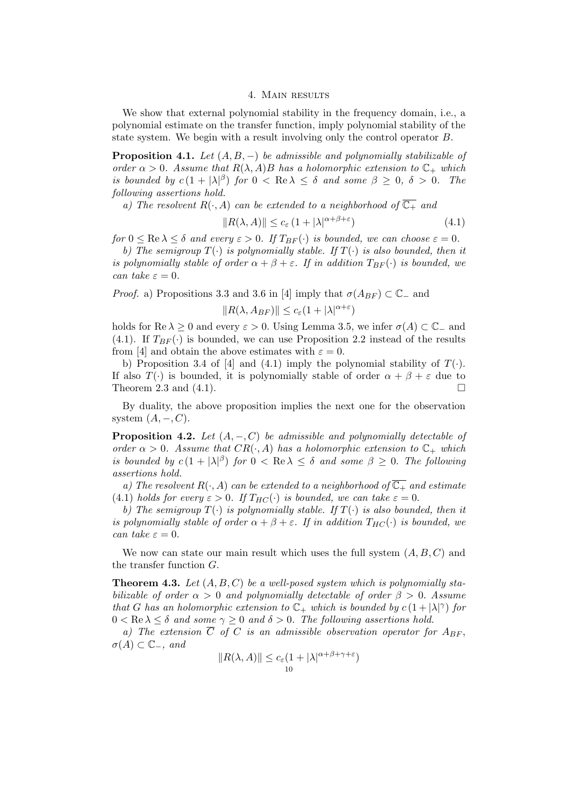### 4. Main results

We show that external polynomial stability in the frequency domain, i.e., a polynomial estimate on the transfer function, imply polynomial stability of the state system. We begin with a result involving only the control operator B.

**Proposition 4.1.** Let  $(A, B, -)$  be admissible and polynomially stabilizable of order  $\alpha > 0$ . Assume that  $R(\lambda, A)B$  has a holomorphic extension to  $\mathbb{C}_+$  which is bounded by  $c(1+|\lambda|^{\beta})$  for  $0 < \text{Re }\lambda \leq \delta$  and some  $\beta \geq 0$ ,  $\delta > 0$ . The following assertions hold.

a) The resolvent  $R(\cdot, A)$  can be extended to a neighborhood of  $\overline{\mathbb{C}_+}$  and

$$
||R(\lambda, A)|| \le c_{\varepsilon} \left(1 + |\lambda|^{\alpha + \beta + \varepsilon}\right) \tag{4.1}
$$

for  $0 \le \text{Re }\lambda \le \delta$  and every  $\varepsilon > 0$ . If  $T_{BF}(\cdot)$  is bounded, we can choose  $\varepsilon = 0$ .

b) The semigroup  $T(\cdot)$  is polynomially stable. If  $T(\cdot)$  is also bounded, then it is polynomially stable of order  $\alpha + \beta + \varepsilon$ . If in addition  $T_{BF}(\cdot)$  is bounded, we can take  $\varepsilon = 0$ .

*Proof.* a) Propositions 3.3 and 3.6 in [4] imply that  $\sigma(A_{BF}) \subset \mathbb{C}^-$  and

$$
||R(\lambda, A_{BF})|| \leq c_{\varepsilon} (1 + |\lambda|^{\alpha + \varepsilon})
$$

holds for Re  $\lambda$  > 0 and every  $\varepsilon$  > 0. Using Lemma 3.5, we infer  $\sigma(A) \subset \mathbb{C}_-$  and (4.1). If  $T_{BF}(\cdot)$  is bounded, we can use Proposition 2.2 instead of the results from [4] and obtain the above estimates with  $\varepsilon = 0$ .

b) Proposition 3.4 of [4] and (4.1) imply the polynomial stability of  $T(\cdot)$ . If also  $T(\cdot)$  is bounded, it is polynomially stable of order  $\alpha + \beta + \varepsilon$  due to Theorem 2.3 and (4.1).

By duality, the above proposition implies the next one for the observation system  $(A, -, C)$ .

**Proposition 4.2.** Let  $(A, -, C)$  be admissible and polynomially detectable of order  $\alpha > 0$ . Assume that  $CR(\cdot, A)$  has a holomorphic extension to  $\mathbb{C}_+$  which is bounded by  $c(1+|\lambda|^{\beta})$  for  $0 < \text{Re }\lambda \leq \delta$  and some  $\beta \geq 0$ . The following assertions hold.

a) The resolvent  $R(\cdot, A)$  can be extended to a neighborhood of  $\overline{\mathbb{C}_+}$  and estimate (4.1) holds for every  $\varepsilon > 0$ . If  $T_{HC}(\cdot)$  is bounded, we can take  $\varepsilon = 0$ .

b) The semigroup  $T(\cdot)$  is polynomially stable. If  $T(\cdot)$  is also bounded, then it is polynomially stable of order  $\alpha + \beta + \varepsilon$ . If in addition  $T_{HC}(\cdot)$  is bounded, we can take  $\varepsilon = 0$ .

We now can state our main result which uses the full system  $(A, B, C)$  and the transfer function G.

**Theorem 4.3.** Let  $(A, B, C)$  be a well-posed system which is polynomially stabilizable of order  $\alpha > 0$  and polynomially detectable of order  $\beta > 0$ . Assume that G has an holomorphic extension to  $\mathbb{C}_+$  which is bounded by  $c(1+|\lambda|^\gamma)$  for  $0 < \text{Re }\lambda \leq \delta$  and some  $\gamma \geq 0$  and  $\delta > 0$ . The following assertions hold.

a) The extension  $\overline{C}$  of C is an admissible observation operator for  $A_{BF}$ ,  $\sigma(A) \subset \mathbb{C}_-$ , and

$$
||R(\lambda, A)|| \le c_{\varepsilon} (1 + |\lambda|^{\alpha + \beta + \gamma + \varepsilon})
$$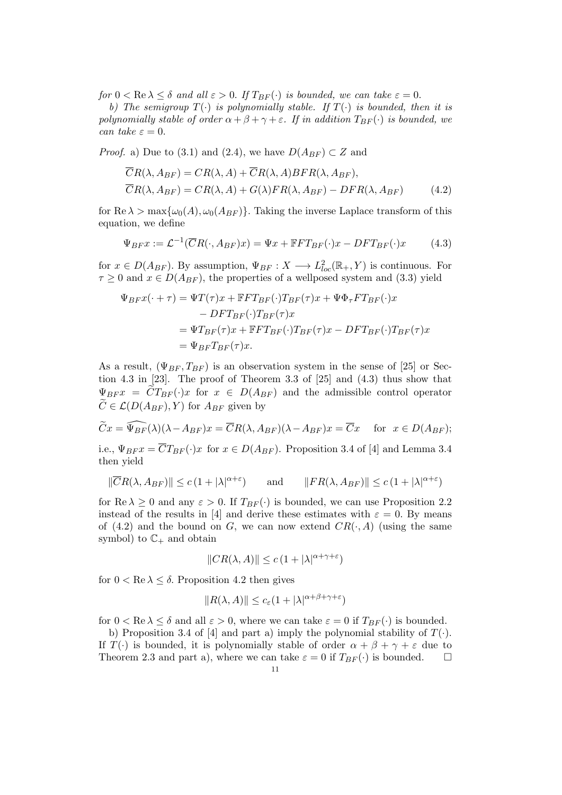for  $0 < \text{Re }\lambda \leq \delta$  and all  $\varepsilon > 0$ . If  $T_{BF}(\cdot)$  is bounded, we can take  $\varepsilon = 0$ .

b) The semigroup  $T(\cdot)$  is polynomially stable. If  $T(\cdot)$  is bounded, then it is polynomially stable of order  $\alpha + \beta + \gamma + \varepsilon$ . If in addition  $T_{BF}(\cdot)$  is bounded, we can take  $\varepsilon = 0$ .

*Proof.* a) Due to (3.1) and (2.4), we have  $D(A_{BF}) \subset Z$  and

$$
\overline{CR}(\lambda, A_{BF}) = CR(\lambda, A) + \overline{CR}(\lambda, A) BFR(\lambda, A_{BF}),
$$
  
\n
$$
\overline{CR}(\lambda, A_{BF}) = \overline{CR}(\lambda, A) + \overline{G}(\lambda) FR(\lambda, A_{BF}) - \overline{DFR}(\lambda, A_{BF})
$$
\n(4.2)

for Re  $\lambda > \max{\{\omega_0(A), \omega_0(A_{BF})\}}$ . Taking the inverse Laplace transform of this equation, we define

$$
\Psi_{BFT} := \mathcal{L}^{-1}(\overline{C}R(\cdot, A_{BF})x) = \Psi x + \mathbb{F}FT_{BF}(\cdot)x - DFT_{BF}(\cdot)x \tag{4.3}
$$

for  $x \in D(A_{BF})$ . By assumption,  $\Psi_{BF} : X \longrightarrow L^2_{loc}(\mathbb{R}_+, Y)$  is continuous. For  $\tau \geq 0$  and  $x \in D(A_{BF})$ , the properties of a wellposed system and (3.3) yield

$$
\Psi_{BF}x(\cdot + \tau) = \Psi T(\tau)x + \mathbb{F}FT_{BF}(\cdot)T_{BF}(\tau)x + \Psi\Phi_{\tau}FT_{BF}(\cdot)x
$$
  
\n
$$
-DFT_{BF}(\cdot)T_{BF}(\tau)x
$$
  
\n
$$
= \Psi T_{BF}(\tau)x + \mathbb{F}FT_{BF}(\cdot)T_{BF}(\tau)x - DFT_{BF}(\cdot)T_{BF}(\tau)x
$$
  
\n
$$
= \Psi_{BF}T_{BF}(\tau)x.
$$

As a result,  $(\Psi_{BF}, T_{BF})$  is an observation system in the sense of [25] or Section 4.3 in [23]. The proof of Theorem 3.3 of [25] and (4.3) thus show that  $\Psi_{BFT} = \widetilde{C}T_{BF}(\cdot)x$  for  $x \in D(A_{BF})$  and the admissible control operator  $\widetilde{C} \in \mathcal{L}(D(A_{BF}), Y)$  for  $A_{BF}$  given by

$$
\widetilde{C}x = \widehat{\Psi_{BF}}(\lambda)(\lambda - A_{BF})x = \overline{C}R(\lambda, A_{BF})(\lambda - A_{BF})x = \overline{C}x \quad \text{for } x \in D(A_{BF});
$$

i.e.,  $\Psi_{BF} x = \overline{C} T_{BF}(\cdot) x$  for  $x \in D(A_{BF})$ . Proposition 3.4 of [4] and Lemma 3.4 then yield

$$
\|\overline{C}R(\lambda, A_{BF})\| \le c\left(1 + |\lambda|^{\alpha + \varepsilon}\right) \qquad \text{and} \qquad \|FR(\lambda, A_{BF})\| \le c\left(1 + |\lambda|^{\alpha + \varepsilon}\right)
$$

for  $\text{Re }\lambda \geq 0$  and any  $\varepsilon > 0$ . If  $T_{BF}(\cdot)$  is bounded, we can use Proposition 2.2 instead of the results in [4] and derive these estimates with  $\varepsilon = 0$ . By means of (4.2) and the bound on G, we can now extend  $CR(\cdot, A)$  (using the same symbol) to  $\mathbb{C}_+$  and obtain

$$
||CR(\lambda,A)|| \leq c\left(1+|\lambda|^{\alpha+\gamma+\varepsilon}\right)
$$

for  $0 < \text{Re }\lambda \leq \delta$ . Proposition 4.2 then gives

$$
||R(\lambda, A)|| \le c_{\varepsilon} (1 + |\lambda|^{\alpha + \beta + \gamma + \varepsilon})
$$

for  $0 < \text{Re }\lambda \le \delta$  and all  $\varepsilon > 0$ , where we can take  $\varepsilon = 0$  if  $T_{BF}(\cdot)$  is bounded.

b) Proposition 3.4 of [4] and part a) imply the polynomial stability of  $T(\cdot)$ . If  $T(\cdot)$  is bounded, it is polynomially stable of order  $\alpha + \beta + \gamma + \varepsilon$  due to Theorem 2.3 and part a), where we can take  $\varepsilon = 0$  if  $T_{BF}(\cdot)$  is bounded.  $\square$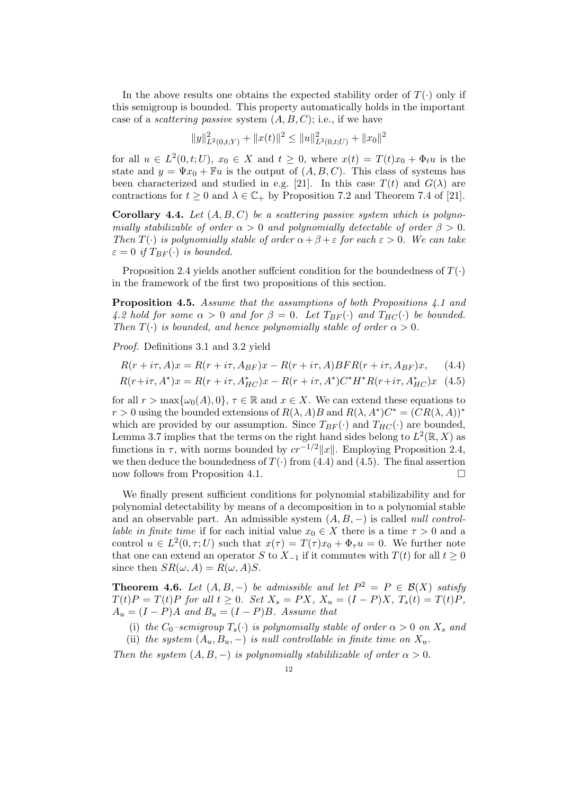In the above results one obtains the expected stability order of  $T(\cdot)$  only if this semigroup is bounded. This property automatically holds in the important case of a *scattering passive* system  $(A, B, C)$ ; i.e., if we have

$$
||y||_{L^{2}(0,t;Y)}^{2} + ||x(t)||^{2} \leq ||u||_{L^{2}(0,t;U)}^{2} + ||x_{0}||^{2}
$$

for all  $u \in L^2(0,t;U)$ ,  $x_0 \in X$  and  $t \geq 0$ , where  $x(t) = T(t)x_0 + \Phi_t u$  is the state and  $y = \Psi x_0 + \mathbb{F}u$  is the output of  $(A, B, C)$ . This class of systems has been characterized and studied in e.g. [21]. In this case  $T(t)$  and  $G(\lambda)$  are contractions for  $t \geq 0$  and  $\lambda \in \mathbb{C}_+$  by Proposition 7.2 and Theorem 7.4 of [21].

**Corollary 4.4.** Let  $(A, B, C)$  be a scattering passive system which is polynomially stabilizable of order  $\alpha > 0$  and polynomially detectable of order  $\beta > 0$ . Then  $T(\cdot)$  is polynomially stable of order  $\alpha + \beta + \varepsilon$  for each  $\varepsilon > 0$ . We can take  $\varepsilon = 0$  if  $T_{BF}(\cdot)$  is bounded.

Proposition 2.4 yields another sufficient condition for the boundedness of  $T(\cdot)$ in the framework of the first two propositions of this section.

Proposition 4.5. Assume that the assumptions of both Propositions 4.1 and 4.2 hold for some  $\alpha > 0$  and for  $\beta = 0$ . Let  $T_{BF}(\cdot)$  and  $T_{HC}(\cdot)$  be bounded. Then  $T(\cdot)$  is bounded, and hence polynomially stable of order  $\alpha > 0$ .

Proof. Definitions 3.1 and 3.2 yield

$$
R(r+i\tau, A)x = R(r+i\tau, A_{BF})x - R(r+i\tau, A)BFR(r+i\tau, A_{BF})x, \quad (4.4)
$$

$$
R(r+i\tau, A^*)x = R(r+i\tau, A^*_{HC})x - R(r+i\tau, A^*)C^*H^*R(r+i\tau, A^*_{HC})x
$$
 (4.5)

for all  $r > \max{\{\omega_0(A), 0\}}$ ,  $\tau \in \mathbb{R}$  and  $x \in X$ . We can extend these equations to r > 0 using the bounded extensions of  $R(\lambda, A)B$  and  $R(\lambda, A^*)C^* = (CR(\lambda, A))^*$ which are provided by our assumption. Since  $T_{BF}(\cdot)$  and  $T_{HC}(\cdot)$  are bounded, Lemma 3.7 implies that the terms on the right hand sides belong to  $L^2(\mathbb{R}, X)$  as functions in  $\tau$ , with norms bounded by  $cr^{-1/2}||x||$ . Employing Proposition 2.4, we then deduce the boundedness of  $T(\cdot)$  from (4.4) and (4.5). The final assertion now follows from Proposition 4.1.

We finally present sufficient conditions for polynomial stabilizability and for polynomial detectability by means of a decomposition in to a polynomial stable and an observable part. An admissible system  $(A, B, -)$  is called *null controllable in finite time* if for each initial value  $x_0 \in X$  there is a time  $\tau > 0$  and a control  $u \in L^2(0, \tau; U)$  such that  $x(\tau) = T(\tau)x_0 + \Phi_{\tau}u = 0$ . We further note that one can extend an operator S to  $X_{-1}$  if it commutes with  $T(t)$  for all  $t \geq 0$ since then  $SR(\omega, A) = R(\omega, A)S$ .

**Theorem 4.6.** Let  $(A, B, -)$  be admissible and let  $P^2 = P \in \mathcal{B}(X)$  satisfy  $T(t)P = T(t)P$  for all  $t \geq 0$ . Set  $X_s = PX$ ,  $X_u = (I - P)X$ ,  $T_s(t) = T(t)P$ ,  $A_u = (I - P)A$  and  $B_u = (I - P)B$ . Assume that

(i) the  $C_0$ -semigroup  $T_s(\cdot)$  is polynomially stable of order  $\alpha > 0$  on  $X_s$  and (ii) the system  $(A_u, B_u, -)$  is null controllable in finite time on  $X_u$ .

Then the system  $(A, B, -)$  is polynomially stabililizable of order  $\alpha > 0$ .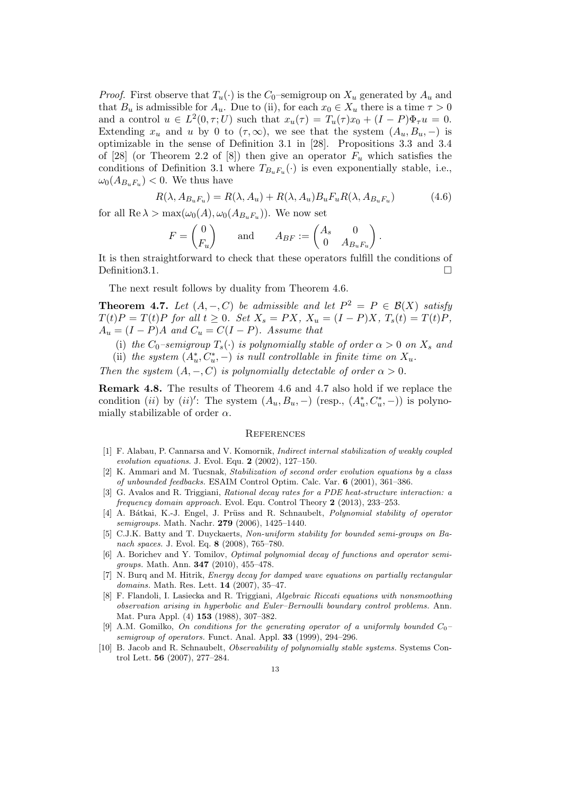*Proof.* First observe that  $T_u(\cdot)$  is the  $C_0$ -semigroup on  $X_u$  generated by  $A_u$  and that  $B_u$  is admissible for  $A_u$ . Due to (ii), for each  $x_0 \in X_u$  there is a time  $\tau > 0$ and a control  $u \in L^2(0, \tau; U)$  such that  $x_u(\tau) = T_u(\tau)x_0 + (I - P)\Phi_\tau u = 0$ . Extending  $x_u$  and u by 0 to  $(\tau, \infty)$ , we see that the system  $(A_u, B_u, -)$  is optimizable in the sense of Definition 3.1 in [28]. Propositions 3.3 and 3.4 of [28] (or Theorem 2.2 of [8]) then give an operator  $F_u$  which satisfies the conditions of Definition 3.1 where  $T_{B_uF_u}(\cdot)$  is even exponentially stable, i.e.,  $\omega_0(A_{B_uF_u})$  < 0. We thus have

$$
R(\lambda, A_{B_u F_u}) = R(\lambda, A_u) + R(\lambda, A_u) B_u F_u R(\lambda, A_{B_u F_u})
$$
\n(4.6)

for all  $\text{Re }\lambda > \max(\omega_0(A), \omega_0(A_{B_uF_u}))$ . We now set

$$
F = \begin{pmatrix} 0 \\ F_u \end{pmatrix} \quad \text{and} \quad A_{BF} := \begin{pmatrix} A_s & 0 \\ 0 & A_{B_u F_u} \end{pmatrix}.
$$

It is then straightforward to check that these operators fulfill the conditions of Definition3.1. □

The next result follows by duality from Theorem 4.6.

**Theorem 4.7.** Let  $(A, -, C)$  be admissible and let  $P^2 = P \in \mathcal{B}(X)$  satisfy  $T(t)P = T(t)P$  for all  $t \geq 0$ . Set  $X_s = PX$ ,  $X_u = (I - P)X$ ,  $T_s(t) = T(t)P$ ,  $A_u = (I - P)A$  and  $C_u = C(I - P)$ . Assume that

- (i) the  $C_0$ -semigroup  $T_s(\cdot)$  is polynomially stable of order  $\alpha > 0$  on  $X_s$  and
- (ii) the system  $(A_u^*, C_u^*, -)$  is null controllable in finite time on  $X_u$ .

Then the system  $(A, -, C)$  is polynomially detectable of order  $\alpha > 0$ .

Remark 4.8. The results of Theorem 4.6 and 4.7 also hold if we replace the condition (ii) by (ii)': The system  $(A_u, B_u, -)$  (resp.,  $(A_u^*, C_u^*, -)$ ) is polynomially stabilizable of order  $\alpha$ .

## **REFERENCES**

- [1] F. Alabau, P. Cannarsa and V. Komornik, Indirect internal stabilization of weakly coupled evolution equations. J. Evol. Equ. 2 (2002), 127–150.
- [2] K. Ammari and M. Tucsnak, Stabilization of second order evolution equations by a class of unbounded feedbacks. ESAIM Control Optim. Calc. Var. 6 (2001), 361–386.
- [3] G. Avalos and R. Triggiani, Rational decay rates for a PDE heat-structure interaction: a frequency domain approach. Evol. Equ. Control Theory 2 (2013), 233–253.
- [4] A. Bátkai, K.-J. Engel, J. Prüss and R. Schnaubelt, *Polynomial stability of operator* semigroups. Math. Nachr. 279 (2006), 1425–1440.
- [5] C.J.K. Batty and T. Duyckaerts, Non-uniform stability for bounded semi-groups on Banach spaces. J. Evol. Eq. 8 (2008), 765–780.
- [6] A. Borichev and Y. Tomilov, Optimal polynomial decay of functions and operator semigroups. Math. Ann. 347 (2010), 455–478.
- [7] N. Burg and M. Hitrik, *Energy decay for damped wave equations on partially rectangular* domains. Math. Res. Lett. 14 (2007), 35–47.
- [8] F. Flandoli, I. Lasiecka and R. Triggiani, Algebraic Riccati equations with nonsmoothing observation arising in hyperbolic and Euler–Bernoulli boundary control problems. Ann. Mat. Pura Appl. (4) 153 (1988), 307–382.
- [9] A.M. Gomilko, On conditions for the generating operator of a uniformly bounded  $C_0$ semigroup of operators. Funct. Anal. Appl. 33 (1999), 294–296.
- [10] B. Jacob and R. Schnaubelt, Observability of polynomially stable systems. Systems Control Lett. 56 (2007), 277–284.